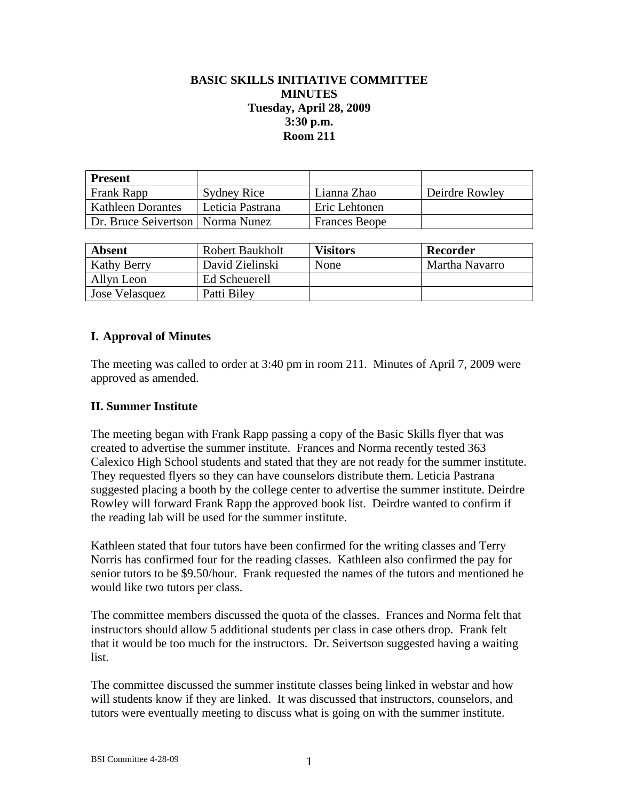# **BASIC SKILLS INITIATIVE COMMITTEE MINUTES Tuesday, April 28, 2009 3:30 p.m. Room 211**

| <b>Present</b>                     |                    |                      |                |
|------------------------------------|--------------------|----------------------|----------------|
| Frank Rapp                         | <b>Sydney Rice</b> | Lianna Zhao          | Deirdre Rowley |
| <b>Kathleen Dorantes</b>           | Leticia Pastrana   | Eric Lehtonen        |                |
| Dr. Bruce Seivertson   Norma Nunez |                    | <b>Frances Beope</b> |                |

| <b>Absent</b>      | <b>Robert Baukholt</b> | <b>Visitors</b> | Recorder       |
|--------------------|------------------------|-----------------|----------------|
| <b>Kathy Berry</b> | David Zielinski        | None            | Martha Navarro |
| Allyn Leon         | Ed Scheuerell          |                 |                |
| Jose Velasquez     | Patti Biley            |                 |                |

### **I. Approval of Minutes**

The meeting was called to order at 3:40 pm in room 211. Minutes of April 7, 2009 were approved as amended.

#### **II. Summer Institute**

The meeting began with Frank Rapp passing a copy of the Basic Skills flyer that was created to advertise the summer institute. Frances and Norma recently tested 363 Calexico High School students and stated that they are not ready for the summer institute. They requested flyers so they can have counselors distribute them. Leticia Pastrana suggested placing a booth by the college center to advertise the summer institute. Deirdre Rowley will forward Frank Rapp the approved book list. Deirdre wanted to confirm if the reading lab will be used for the summer institute.

Kathleen stated that four tutors have been confirmed for the writing classes and Terry Norris has confirmed four for the reading classes. Kathleen also confirmed the pay for senior tutors to be \$9.50/hour. Frank requested the names of the tutors and mentioned he would like two tutors per class.

The committee members discussed the quota of the classes. Frances and Norma felt that instructors should allow 5 additional students per class in case others drop. Frank felt that it would be too much for the instructors. Dr. Seivertson suggested having a waiting list.

The committee discussed the summer institute classes being linked in webstar and how will students know if they are linked. It was discussed that instructors, counselors, and tutors were eventually meeting to discuss what is going on with the summer institute.